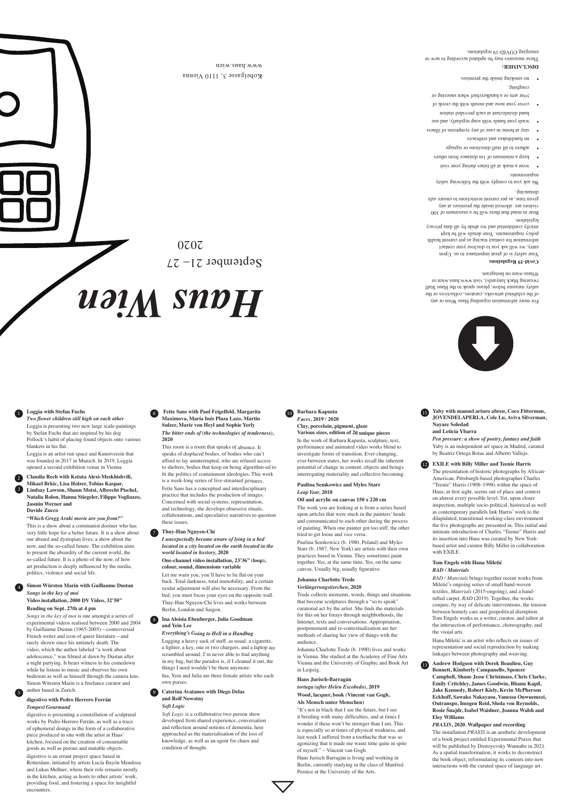

of the exhibited artworks, curators, collectives or the safety measure below, please speak to the Haus Staff (wearing black lanyards), visit www.haus.wien or @haus.wien on Instagram.

 $\text{Mod}$  .<br>such a safety is a set of us. Upon entry, we will ask you to disclose your contact information for contact tracing as per current health policy requirements. Your details will be kept strictly confidential and we abide by all data privacy legislation.

## **Covid-19 Regulations**

We ask you to comply with the following safety requirements:

Bear in mind that there will be a maximum of 100 visitors are allowed inside the premises at any given time, as per current restrictions to ensure safe distancing.

- wear a mask at all times during your visit •
- keep a minimum of 1m distance from others •
- 
- adhere to all staff directions or signage •
- no handshakes and embraces •
- stay at home in case of any symptoms of illness
- wash your hands with soap regularly, and use hand disinfectant at each provided station
- cover your nose and mouth with the crook of your arm or a handkerchief when sneezing or
- coughing. no smoking inside the premises. •

## **DISCLAIMER:**

These measures may be updated according to new or emerging COVID-19 regulations.

## **Loggia with Stefan Fuchs**

*Two flower children still high on each other* Loggia is presenting two new large scale-paintings by Stefan Fuchs that are inspired by his dog Pollock's habit of placing found objects onto various blankets in his flat.

Loggia is an artist-run space and Kunstverein that was founded in 2017 in Munich. In 2019, Loggia opened a second exhibition venue in Vienna.

*"Which Gregg Araki movie are you from?"*

This is a show about a communist doomer who has very little hope for a better future. It is a show about our absurd and dystopian lives, a show about the now, and the so-called future. The exhibition aims to present the absurdity of the current world, the so-called future. It is a photo of the now, of how art production is deeply influenced by the media, politics, violence and social life.

#### **Reading on Sept. 27th at 4 pm**

*Songs in the key of moi* is one amongst a series of experimental videos realised between 2000 and 2004 by Guillaume Dustan (1965-2005)—controversial French writer and icon of queer literature—and rarely shown since his untimely death. The video, which the author labeled "a work about adolescence," was filmed at dawn by Dustan after a night partying. It bears witness to his comedown while he listens to music and observes his own bedroom as well as himself through the camera lens. Simon Würsten Marin is a freelance curator and author based in Zurich.

#### **digestivo with Pedro Herrero Ferrán** *Tempest Gourmand*

digestivo is presenting a constellation of sculptural works by Pedro Herrero Ferrán, as well as a trace of ephemeral doings in the form of a collaborative piece produced in situ with the artist at Haus' kitchen, focused on the creation of consumable goods as well as porous and mutable objects.

digestivo is an errant project space based in Rotterdam, initiated by artists Lucía Bayón Mendoza and Lukas Meßner, where their role remains mostly in the kitchen, acting as hosts to other artists' work, providing food, and fostering a space for insightful encounters.

This room is a room that speaks of absence. It speaks of displaced bodies, of bodies who can't afford to lay uninterrupted, who are refused access to shelters, bodies that keep on being algorithm-ed to fit the politics of containment ideologies. This work is a week-long series of live-streamed gestures. Fette Sans has a conceptual and interdisciplinary practice that includes the production of images. Concerned with social systems, representation, and technology, she develops obsessive rituals, collaborations, and speculative narratives to question these issues.

*I unexpectedly became aware of lying in a bed located in a city located on the earth located in the world located in hxstory,* **2020**

**One-channel video installation, 23'36'' (loop), colour, sound, dimensions variable**

Let me warn you, you'll have to lie flat on your back. Total darkness, total immobility, and a certain ocular adjustment will also be necessary. From the bed, you must focus your eyes on the opposite wall. Thuy-Han Nguyen-Chi lives and works between

Berlin, London and Saigon.

*Everything's Going to Hell in a Handbag*

Lugging a heavy sack of stuff, as usual: a cigarette, a lighter, a key, one or two chargers, and a laptop are scrambled around. I'm never able to find anything in my bag, but the paradox is, if I cleaned it out, the things I need wouldn't be there anymore.

Ina, Yein and Julia are three female artists who each own purses.

#### *Soft Logic*

*Soft Logic* is a collaborative two-person show developed from shared experience, conversation and reflection around notions of dementia, here approached as the materialisation of the loss of knowledge, as well as an agent for chaos and condition of thought.

**Various sizes, edition of 20 unique pieces** In the work of Barbara Kapusta, sculpture, text, performance and animated video works blend to investigate forms of transition. Ever-changing, ever-between states, her works recall the inherent potential of change in content, objects and beings interrogating materiality and collective becoming.

**Claudia Rech with Ketuta Alexi-Meskhishvili, Mikael Brkic, Lisa Holzer, Tobias Kaspar, Lindsay Lawson, Shaun Motsi, Albrecht Pischel, Natalia Rolon, Hanna Stiegeler, Filippo Vogliazzo, Jasmin Werner and Davide Zucco** 2 3

## **Paulina Semkowicz and Myles Starr** *Leap Year,* **2018**

# **Oil and acrylic on canvas 150 x 220 cm**

**Simon Würsten Marin with Guillaume Dustan** *Songs in the key of moi*  **Video installation, 2000 DV Video, 32'50''** 4

The work you are looking at is from a series based upon articles that were stuck in the painters' heads and communicated to each other during the process of painting. When one painter got too stiff, the other tried to get loose and vice versa.

Paulina Semkowicz (b. 1980, Poland) and Myles Starr (b. 1987, New York) are artists with their own practices based in Vienna. They sometimes paint together. Yes, at the same time. Yes, on the same canvas. Usually big, usually figurative.

# **Johanna Charlotte Trede**

# *Verlängerungstierchen,* **2020**

Trede collects moments, words, things and situations that become sculptures through a "so to speak" curatorial act by the artist. She finds the materials for this on her forays through neighborhoods, the Internet, texts and conversations. Appropriation, postponement and re-contextualization are her methods of sharing her view of things with the audience.

#### **Fette Sans with Paul Feigelfeld, Margarita**  1 11 **Maximova, María Inés Plaza Lazo, Martin Sulzer, Marie von Heyl and Sophie Yerly** *The bitter ends of (the technologies of tenderness),*  **2020** 6

maiw.ausd.www

Johanna Charlotte Trede (b. 1990) lives and works in Vienna. She studied at the Academy of Fine Arts Vienna and the University of Graphic and Book Art in Leipzig.

#### **Hans Jurisch-Barragán**

#### **Thuy-Han Nguyen-Chi** 7

*tortuga (after Helen Escobedo),* **2019 Wood, lacquer, book (Vincent van Gogh, Als Mensch unter Menschen)**

#### **Ina Aloisia Ebenberger, Julia Goodman and Yein Lee** 8

"It's not in black that I see the future, but I see it bristling with many difficulties, and at times I wonder if these won't be stronger than I am. This is especially so at times of physical weakness, and last week I suffered from a toothache that was so agonizing that it made me waste time quite in spite of myself." – Vincent van Gogh

#### **Caterina Avataneo with Diego Delas and Rolf Nowotny** 9

Hans Jurisch Barragán is living and working in Berlin, currently studying in the class of Manfred Pernice at the University of the Arts.

**Yaby with manuel arturo abreu, Coco Fitterman, JOVENDELAPERLA, Cole Lu, Aviva Silverman,** 

#### **Barbara Kapusta** *Faces,* **2019 / 2020 Clay, porcelain, pigment, glaze** 10

# **Nayare Soledad and Leticia Ybarra**

The presentation of historic photographs by African-American, Pittsburgh-based photographer Charles "Teenie" Harris (1908–1998) within the space of Haus, at first sight, seems out of place and context on almost every possible level. Yet, upon closer inspection, multiple socio-political, historical as well as contemporary parallels link Harris' work to the dilapidated, transitional working-class environment the five photographs are presented in. This initial and intimate introduction of Charles "Teenie" Harris and its insertion into Haus was curated by New Yorkbased artist and curator Billy Miller in collaboration



with EXILE.

**Tom Engels with Hana Miletić**

*RAD / Materials* 

*RAD / Materials* brings together recent works from Miletić's ongoing series of small hand-woven textiles, *Materials* (2015-ongoing), and a handtufted carpet, *RAD* (2019). Together, the works

*Pen pressure: a show of poetry, fantasy and faith* Yaby is an independent art space in Madrid, curated by Beatriz Ortega Botas and Alberto Vallejo. **EXILE with Billy Miller and Teenie Harris** 12

conjure, by way of delicate interventions, the tension between homely care and geopolitical disruption. Tom Engels works as a writer, curator, and editor at the intersection of performance, choreography, and the visual arts.

Hana Miletić is an artist who reflects on issues of representation and social reproduction by making linkages between photography and weaving.

**Andrew Hodgson with Derek Beaulieu, Guy Bennett, Kimberly Campanello, Spencer Campbell, Shane Jesse Christmass, Chris Clarke, Emily Critchley, James Goodwin, Bhanu Kapil, Jake Kennedy, Robert Kiely, Kevin McPherson Eckhoff, Sawako Nakayasu, Vanessa Onwuemezi, Outranspo, Imogen Reid, Shola von Reynolds, Rosie Šnajdr, Isabel Waidner, Joanna Walsh and Eley Williams**

#### *PRAXIS,* **2020. Wallpaper and recording**

The installation *PRAXIS* is an aesthetic development of a book project entitled Experimental Praxis that will be published by Dostoyevsky Wannabe in 2021. As a spatial transformation, it works to deconstruct the book object, reformulating its contents into new interactions with the curated space of language art.

13

5